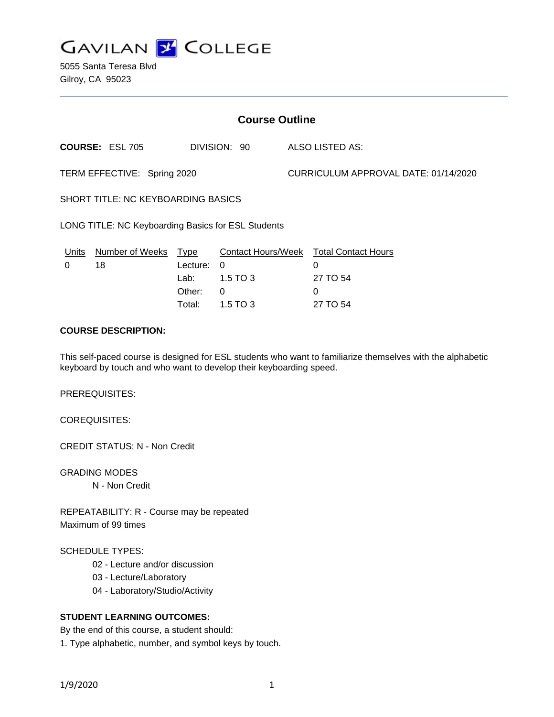

5055 Santa Teresa Blvd Gilroy, CA 95023

| <b>Course Outline</b>                              |                        |          |                           |                                      |                            |
|----------------------------------------------------|------------------------|----------|---------------------------|--------------------------------------|----------------------------|
|                                                    | <b>COURSE: ESL 705</b> |          | DIVISION: 90              |                                      | <b>ALSO LISTED AS:</b>     |
| TERM EFFECTIVE: Spring 2020                        |                        |          |                           | CURRICULUM APPROVAL DATE: 01/14/2020 |                            |
| <b>SHORT TITLE: NC KEYBOARDING BASICS</b>          |                        |          |                           |                                      |                            |
| LONG TITLE: NC Keyboarding Basics for ESL Students |                        |          |                           |                                      |                            |
| Units                                              | Number of Weeks        | Type     | <b>Contact Hours/Week</b> |                                      | <b>Total Contact Hours</b> |
| 0                                                  | 18                     | Lecture: | 0                         |                                      | 0                          |
|                                                    |                        | Lab:     | $1.5$ TO 3                |                                      | 27 TO 54                   |
|                                                    |                        | Other:   | 0                         |                                      | 0                          |
|                                                    |                        | Total:   | 1.5 TO 3                  |                                      | 27 TO 54                   |

### **COURSE DESCRIPTION:**

This self-paced course is designed for ESL students who want to familiarize themselves with the alphabetic keyboard by touch and who want to develop their keyboarding speed.

PREREQUISITES:

COREQUISITES:

CREDIT STATUS: N - Non Credit

GRADING MODES N - Non Credit

REPEATABILITY: R - Course may be repeated Maximum of 99 times

SCHEDULE TYPES:

- 02 Lecture and/or discussion
- 03 Lecture/Laboratory
- 04 Laboratory/Studio/Activity

# **STUDENT LEARNING OUTCOMES:**

By the end of this course, a student should: 1. Type alphabetic, number, and symbol keys by touch.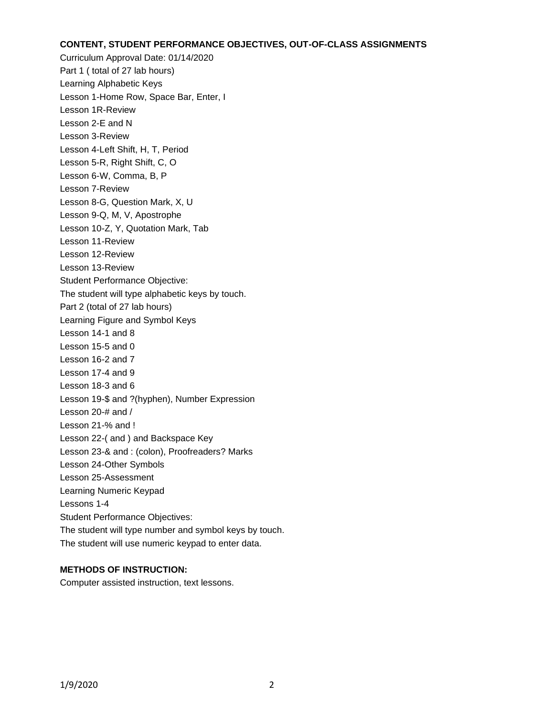#### **CONTENT, STUDENT PERFORMANCE OBJECTIVES, OUT-OF-CLASS ASSIGNMENTS**

Curriculum Approval Date: 01/14/2020 Part 1 ( total of 27 lab hours) Learning Alphabetic Keys Lesson 1-Home Row, Space Bar, Enter, I Lesson 1R-Review Lesson 2-E and N Lesson 3-Review Lesson 4-Left Shift, H, T, Period Lesson 5-R, Right Shift, C, O Lesson 6-W, Comma, B, P Lesson 7-Review Lesson 8-G, Question Mark, X, U Lesson 9-Q, M, V, Apostrophe Lesson 10-Z, Y, Quotation Mark, Tab Lesson 11-Review Lesson 12-Review Lesson 13-Review Student Performance Objective: The student will type alphabetic keys by touch. Part 2 (total of 27 lab hours) Learning Figure and Symbol Keys Lesson 14-1 and 8 Lesson 15-5 and 0 Lesson 16-2 and 7 Lesson 17-4 and 9 Lesson 18-3 and 6 Lesson 19-\$ and ?(hyphen), Number Expression Lesson 20-# and / Lesson 21-% and ! Lesson 22-( and ) and Backspace Key Lesson 23-& and : (colon), Proofreaders? Marks Lesson 24-Other Symbols Lesson 25-Assessment Learning Numeric Keypad Lessons 1-4 Student Performance Objectives: The student will type number and symbol keys by touch. The student will use numeric keypad to enter data.

# **METHODS OF INSTRUCTION:**

Computer assisted instruction, text lessons.